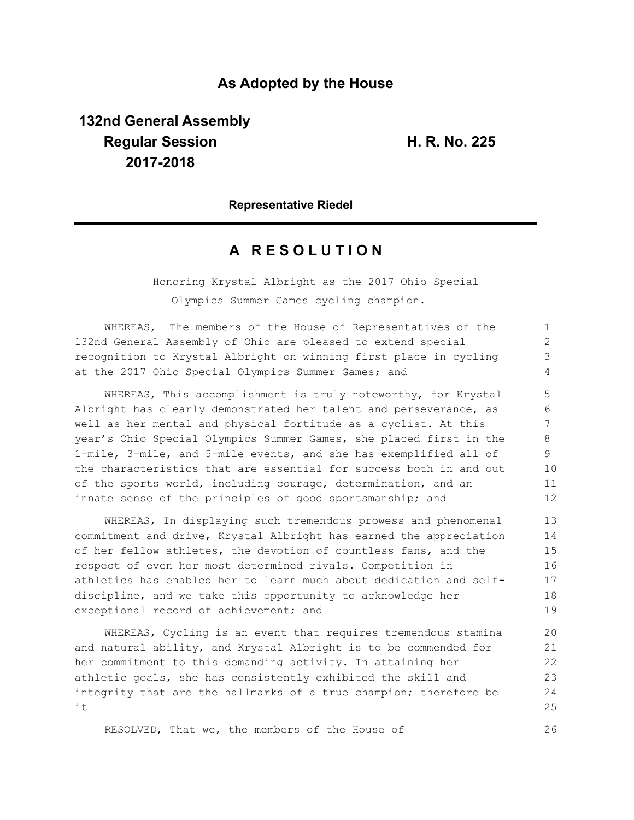## **As Adopted by the House**

# **132nd General Assembly Regular Session H. R. No. 225 2017-2018**

26

#### **Representative Riedel**

## **A R E S O L U T I O N**

Honoring Krystal Albright as the 2017 Ohio Special

Olympics Summer Games cycling champion.

WHEREAS, The members of the House of Representatives of the 132nd General Assembly of Ohio are pleased to extend special recognition to Krystal Albright on winning first place in cycling at the 2017 Ohio Special Olympics Summer Games; and 1  $\mathcal{P}$ 3 4

WHEREAS, This accomplishment is truly noteworthy, for Krystal Albright has clearly demonstrated her talent and perseverance, as well as her mental and physical fortitude as a cyclist. At this year's Ohio Special Olympics Summer Games, she placed first in the 1-mile, 3-mile, and 5-mile events, and she has exemplified all of the characteristics that are essential for success both in and out of the sports world, including courage, determination, and an innate sense of the principles of good sportsmanship; and

WHEREAS, In displaying such tremendous prowess and phenomenal commitment and drive, Krystal Albright has earned the appreciation of her fellow athletes, the devotion of countless fans, and the respect of even her most determined rivals. Competition in athletics has enabled her to learn much about dedication and selfdiscipline, and we take this opportunity to acknowledge her exceptional record of achievement; and

WHEREAS, Cycling is an event that requires tremendous stamina and natural ability, and Krystal Albright is to be commended for her commitment to this demanding activity. In attaining her athletic goals, she has consistently exhibited the skill and integrity that are the hallmarks of a true champion; therefore be it 20 21 22 23 24 25

RESOLVED, That we, the members of the House of